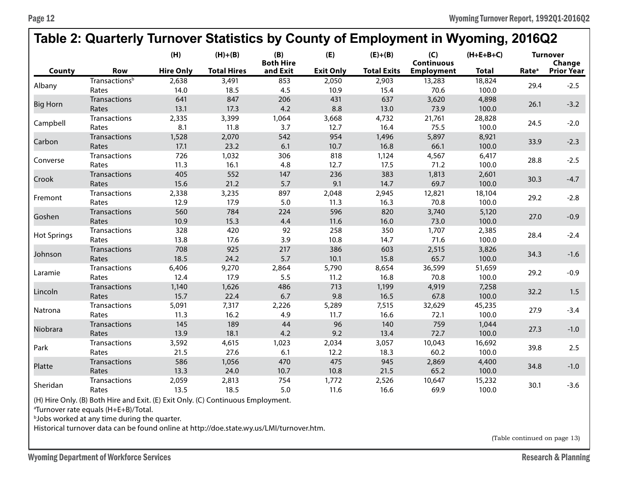## **Table 2: Quarterly Turnover Statistics by County of Employment in Wyoming, 2016Q2**

|                    |                           | (H)              | $(H)+(B)$          | (B)<br><b>Both Hire</b> | (E)              | $(E)+(B)$          | (C)<br><b>Continuous</b> | $(H+E+B+C)$  | <b>Turnover</b><br>Change |                   |
|--------------------|---------------------------|------------------|--------------------|-------------------------|------------------|--------------------|--------------------------|--------------|---------------------------|-------------------|
| County             | <b>Row</b>                | <b>Hire Only</b> | <b>Total Hires</b> | and Exit                | <b>Exit Only</b> | <b>Total Exits</b> | <b>Employment</b>        | <b>Total</b> | Rate <sup>a</sup>         | <b>Prior Year</b> |
| Albany             | Transactions <sup>b</sup> | 2,638            | 3,491              | 853                     | 2,050            | 2,903              | 13,283                   | 18,824       | 29.4                      | $-2.5$            |
|                    | Rates                     | 14.0             | 18.5               | 4.5                     | 10.9             | 15.4               | 70.6                     | 100.0        |                           |                   |
| <b>Big Horn</b>    | <b>Transactions</b>       | 641              | 847                | 206                     | 431              | 637                | 3,620                    | 4,898        | 26.1                      | $-3.2$            |
|                    | Rates                     | 13.1             | 17.3               | 4.2                     | 8.8              | 13.0               | 73.9                     | 100.0        |                           |                   |
| Campbell           | Transactions              | 2,335            | 3,399              | 1,064                   | 3,668            | 4,732              | 21,761                   | 28,828       | 24.5                      | $-2.0$            |
|                    | Rates                     | 8.1              | 11.8               | 3.7                     | 12.7             | 16.4               | 75.5                     | 100.0        |                           |                   |
| Carbon             | Transactions              | 1,528            | 2,070              | 542                     | 954              | 1,496              | 5,897                    | 8,921        | 33.9                      | $-2.3$            |
|                    | Rates                     | 17.1             | 23.2               | 6.1                     | 10.7             | 16.8               | 66.1                     | 100.0        |                           |                   |
| Converse           | <b>Transactions</b>       | 726              | 1,032              | 306                     | 818              | 1,124              | 4,567                    | 6,417        | 28.8                      | $-2.5$            |
|                    | Rates                     | 11.3             | 16.1               | 4.8                     | 12.7             | 17.5               | 71.2                     | 100.0        |                           |                   |
| Crook              | <b>Transactions</b>       | 405              | 552                | 147                     | 236              | 383                | 1,813                    | 2,601        | 30.3                      | $-4.7$            |
|                    | Rates                     | 15.6             | 21.2               | 5.7                     | 9.1              | 14.7               | 69.7                     | 100.0        |                           |                   |
| Fremont            | <b>Transactions</b>       | 2,338            | 3,235              | 897                     | 2,048            | 2,945              | 12,821                   | 18,104       | 29.2                      | $-2.8$            |
|                    | Rates                     | 12.9             | 17.9               | 5.0                     | 11.3             | 16.3               | 70.8                     | 100.0        |                           |                   |
| Goshen             | Transactions              | 560              | 784                | 224                     | 596              | 820                | 3,740                    | 5,120        | 27.0                      | $-0.9$            |
|                    | Rates                     | 10.9             | 15.3               | 4.4                     | 11.6             | 16.0               | 73.0                     | 100.0        |                           |                   |
| <b>Hot Springs</b> | <b>Transactions</b>       | 328              | 420                | 92                      | 258              | 350                | 1,707                    | 2,385        | 28.4                      | $-2.4$            |
|                    | Rates                     | 13.8             | 17.6               | 3.9                     | 10.8             | 14.7               | 71.6                     | 100.0        |                           |                   |
| Johnson            | <b>Transactions</b>       | 708              | 925                | 217                     | 386              | 603                | 2,515                    | 3,826        | 34.3                      | $-1.6$            |
|                    | Rates                     | 18.5             | 24.2               | 5.7                     | 10.1             | 15.8               | 65.7                     | 100.0        |                           |                   |
| Laramie            | <b>Transactions</b>       | 6,406            | 9,270              | 2,864                   | 5,790            | 8,654              | 36,599                   | 51,659       | 29.2                      | $-0.9$            |
|                    | Rates                     | 12.4             | 17.9               | 5.5                     | 11.2             | 16.8               | 70.8                     | 100.0        |                           |                   |
| Lincoln            | Transactions              | 1,140            | 1,626              | 486                     | 713              | 1,199              | 4,919                    | 7,258        | 32.2                      | 1.5               |
|                    | Rates                     | 15.7             | 22.4               | 6.7                     | 9.8              | 16.5               | 67.8                     | 100.0        |                           |                   |
| Natrona            | <b>Transactions</b>       | 5,091            | 7,317              | 2,226                   | 5,289            | 7,515              | 32,629                   | 45,235       | 27.9                      | $-3.4$            |
|                    | Rates                     | 11.3             | 16.2               | 4.9                     | 11.7             | 16.6               | 72.1                     | 100.0        |                           |                   |
| Niobrara           | <b>Transactions</b>       | 145              | 189                | 44                      | 96               | 140                | 759                      | 1,044        | 27.3                      | $-1.0$            |
|                    | Rates                     | 13.9             | 18.1               | 4.2                     | 9.2              | 13.4               | 72.7                     | 100.0        |                           |                   |
| Park               | <b>Transactions</b>       | 3,592            | 4,615              | 1,023                   | 2,034            | 3,057              | 10,043                   | 16,692       | 39.8                      | 2.5               |
|                    | Rates                     | 21.5             | 27.6               | 6.1                     | 12.2             | 18.3               | 60.2                     | 100.0        |                           |                   |
| Platte             | <b>Transactions</b>       | 586              | 1,056              | 470                     | 475              | 945                | 2,869                    | 4,400        | 34.8                      | $-1.0$            |
|                    | Rates                     | 13.3             | 24.0               | 10.7                    | 10.8             | 21.5               | 65.2                     | 100.0        |                           |                   |
| Sheridan           | Transactions              | 2,059            | 2,813              | 754                     | 1,772            | 2,526              | 10,647                   | 15,232       | 30.1                      | $-3.6$            |
|                    | Rates                     | 13.5             | 18.5               | 5.0                     | 11.6             | 16.6               | 69.9                     | 100.0        |                           |                   |

(H) Hire Only. (B) Both Hire and Exit. (E) Exit Only. (C) Continuous Employment.

a Turnover rate equals (H+E+B)/Total.

**bJobs worked at any time during the quarter.** 

Historical turnover data can be found online at http://doe.state.wy.us/LMI/turnover.htm.

(Table continued on page 13)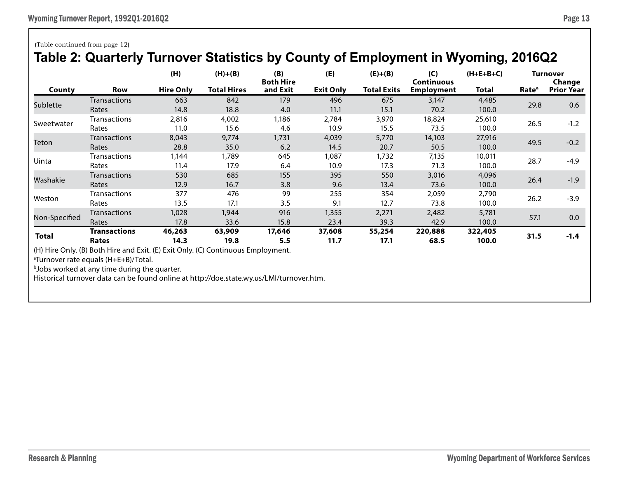|            | Table 2: Quarterly Turnover Statistics by County of Employment in Wyoming, 2016Q2 |                  |                    |                         |                  |                    |                          |             |                   |                           |  |
|------------|-----------------------------------------------------------------------------------|------------------|--------------------|-------------------------|------------------|--------------------|--------------------------|-------------|-------------------|---------------------------|--|
|            |                                                                                   | (H)              | $(H)+(B)$          | (B)<br><b>Both Hire</b> | (E)              | $(E)+(B)$          | (C)<br><b>Continuous</b> | $(H+E+B+C)$ |                   | <b>Turnover</b><br>Change |  |
| County     | <b>Row</b>                                                                        | <b>Hire Only</b> | <b>Total Hires</b> | and Exit                | <b>Exit Only</b> | <b>Total Exits</b> | <b>Employment</b>        | Total       | Rate <sup>a</sup> | <b>Prior Year</b>         |  |
| Sublette   | <b>Transactions</b>                                                               | 663              | 842                | 179                     | 496              | 675                | 3,147                    | 4,485       | 29.8              | 0.6                       |  |
|            | Rates                                                                             | 14.8             | 18.8               | 4.0                     | 11.1             | 15.1               | 70.2                     | 100.0       |                   |                           |  |
| Sweetwater | <b>Transactions</b>                                                               | 2,816            | 4,002              | 1,186                   | 2,784            | 3,970              | 18,824                   | 25,610      | 26.5              | $-1.2$                    |  |
|            | Rates                                                                             | 11.0             | 15.6               | 4.6                     | 10.9             | 15.5               | 73.5                     | 100.0       |                   |                           |  |
| Teton      | <b>Transactions</b>                                                               | 8,043            | 9,774              | 1,731                   | 4,039            | 5,770              | 14,103                   | 27,916      | 49.5              | $-0.2$                    |  |
|            | Rates                                                                             | 28.8             | 35.0               | 6.2                     | 14.5             | 20.7               | 50.5                     | 100.0       |                   |                           |  |
| Uinta      | <b>Transactions</b>                                                               | 1.144            | 1,789              | 645                     | 1,087            | 1,732              | 7,135                    | 10,011      | 28.7              | $-4.9$                    |  |
|            | Rates                                                                             | 11.4             | 17.9               | 6.4                     | 10.9             | 17.3               | 71.3                     | 100.0       |                   |                           |  |
| Washakie   | <b>Transactions</b>                                                               | 530              | 685                | 155                     | 395              | 550                | 3,016                    | 4,096       | 26.4              | $-1.9$                    |  |
|            | Rates                                                                             | 12.9             | 16.7               | 3.8                     | 9.6              | 13.4               | 73.6                     | 100.0       |                   |                           |  |
| Weston     | <b>Transactions</b>                                                               | 377              | 476                | 99                      | 255              | 354                | 2,059                    | 2,790       |                   | $-3.9$                    |  |
|            | Rates                                                                             | 13.5             | 17.1               | 3.5                     | 9.1              | 12.7               | 73.8                     | 100.0       | 26.2              |                           |  |

Non-Specified Transactions 1,028 1,944 <sup>916</sup> 1,355 2,271 2,482 5,781 57.1 0.0 Rates 17.8 33.6 15.8 23.4 39.3 42.9 100.0

Transactions 46,263 63,909 17,646 37,608 55,254 220,888 322,405<br>Rates 14.3 19.8 5.5 11.7 17.1 68.5 100.0 31.5 -1.4

## (Table continued from page 12)

a Turnover rate equals (H+E+B)/Total.

## **Table 2: Quarterly Turnover Statistics by County of Employment in Wyoming, 2016Q2**

**bJobs worked at any time during the quarter.** Historical turnover data can be found online at http://doe.state.wy.us/LMI/turnover.htm.

(H) Hire Only. (B) Both Hire and Exit. (E) Exit Only. (C) Continuous Employment.